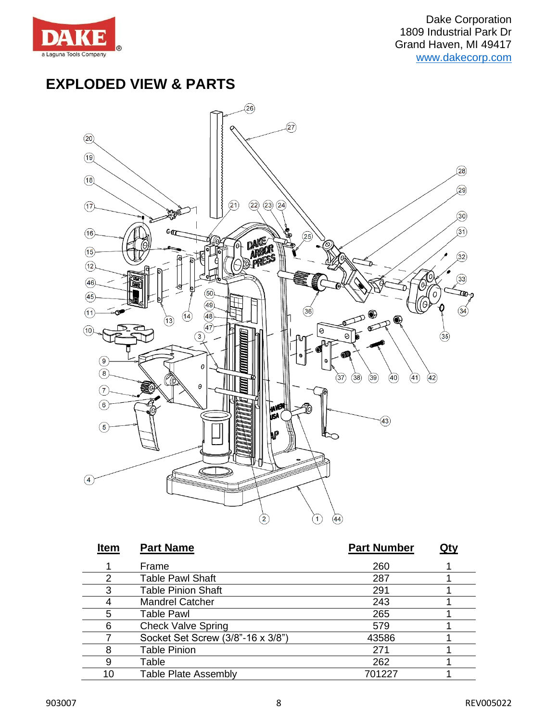

## **EXPLODED VIEW & PARTS**



| <b>Item</b> | <b>Part Name</b>                  | <b>Part Number</b> | Qty |
|-------------|-----------------------------------|--------------------|-----|
|             | Frame                             | 260                |     |
|             | <b>Table Pawl Shaft</b>           | 287                |     |
| 3           | <b>Table Pinion Shaft</b>         | 291                |     |
|             | <b>Mandrel Catcher</b>            | 243                |     |
| 5           | <b>Table Pawl</b>                 | 265                |     |
| 6           | <b>Check Valve Spring</b>         | 579                |     |
|             | Socket Set Screw (3/8"-16 x 3/8") | 43586              |     |
|             | <b>Table Pinion</b>               | 271                |     |
|             | Table                             | 262                |     |
| 10          | <b>Table Plate Assembly</b>       | 701227             |     |